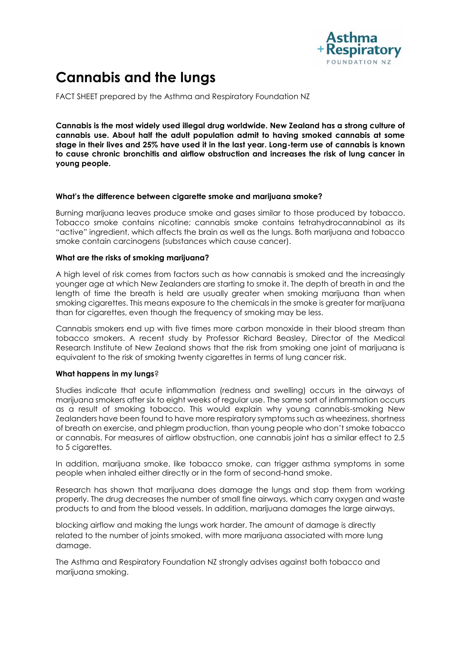

# **Cannabis and the lungs**

FACT SHEET prepared by the Asthma and Respiratory Foundation NZ

**Cannabis is the most widely used illegal drug worldwide. New Zealand has a strong culture of cannabis use. About half the adult population admit to having smoked cannabis at some stage in their lives and 25% have used it in the last year. Long-term use of cannabis is known to cause chronic bronchitis and airflow obstruction and increases the risk of lung cancer in young people.** 

# **What's the difference between cigarette smoke and marijuana smoke?**

Burning marijuana leaves produce smoke and gases similar to those produced by tobacco. Tobacco smoke contains nicotine; cannabis smoke contains tetrahydrocannabinol as its "active" ingredient, which affects the brain as well as the lungs. Both marijuana and tobacco smoke contain carcinogens (substances which cause cancer).

### **What are the risks of smoking marijuana?**

A high level of risk comes from factors such as how cannabis is smoked and the increasingly younger age at which New Zealanders are starting to smoke it. The depth of breath in and the length of time the breath is held are usually greater when smoking marijuana than when smoking cigarettes. This means exposure to the chemicals in the smoke is greater for marijuana than for cigarettes, even though the frequency of smoking may be less.

Cannabis smokers end up with five times more carbon monoxide in their blood stream than tobacco smokers. A recent study by Professor Richard Beasley, Director of the Medical Research Institute of New Zealand shows that the risk from smoking one joint of marijuana is equivalent to the risk of smoking twenty cigarettes in terms of lung cancer risk.

# **What happens in my lungs**?

Studies indicate that acute inflammation (redness and swelling) occurs in the airways of marijuana smokers after six to eight weeks of regular use. The same sort of inflammation occurs as a result of smoking tobacco. This would explain why young cannabis-smoking New Zealanders have been found to have more respiratory symptoms such as wheeziness, shortness of breath on exercise, and phlegm production, than young people who don't smoke tobacco or cannabis. For measures of airflow obstruction, one cannabis joint has a similar effect to 2.5 to 5 cigarettes.

In addition, marijuana smoke, like tobacco smoke, can trigger asthma symptoms in some people when inhaled either directly or in the form of second-hand smoke.

Research has shown that marijuana does damage the lungs and stop them from working properly. The drug decreases the number of small fine airways, which carry oxygen and waste products to and from the blood vessels. In addition, marijuana damages the large airways,

blocking airflow and making the lungs work harder. The amount of damage is directly related to the number of joints smoked, with more marijuana associated with more lung damage.

The Asthma and Respiratory Foundation NZ strongly advises against both tobacco and marijuana smoking.